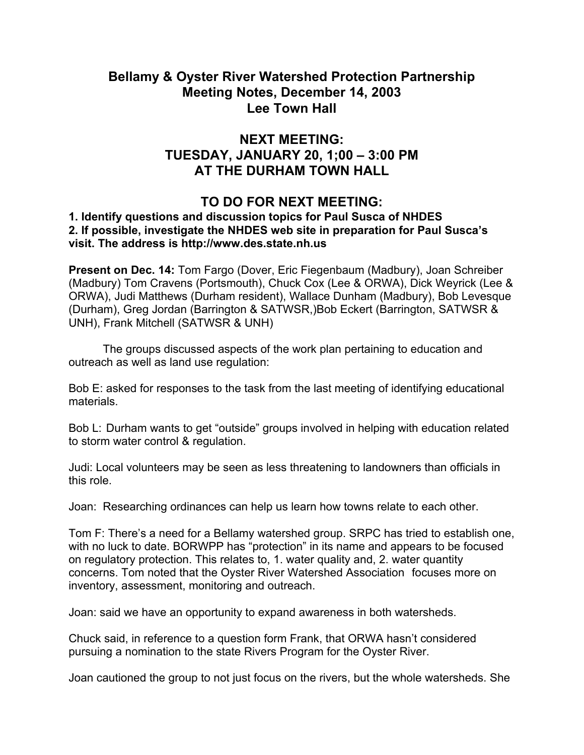## **Bellamy & Oyster River Watershed Protection Partnership Meeting Notes, December 14, 2003 Lee Town Hall**

## **NEXT MEETING: TUESDAY, JANUARY 20, 1;00 – 3:00 PM AT THE DURHAM TOWN HALL**

## **TO DO FOR NEXT MEETING:**

## **1. Identify questions and discussion topics for Paul Susca of NHDES 2. If possible, investigate the NHDES web site in preparation for Paul Susca's visit. The address is http://www.des.state.nh.us**

**Present on Dec. 14:** Tom Fargo (Dover, Eric Fiegenbaum (Madbury), Joan Schreiber (Madbury) Tom Cravens (Portsmouth), Chuck Cox (Lee & ORWA), Dick Weyrick (Lee & ORWA), Judi Matthews (Durham resident), Wallace Dunham (Madbury), Bob Levesque (Durham), Greg Jordan (Barrington & SATWSR,)Bob Eckert (Barrington, SATWSR & UNH), Frank Mitchell (SATWSR & UNH)

 The groups discussed aspects of the work plan pertaining to education and outreach as well as land use regulation:

Bob E: asked for responses to the task from the last meeting of identifying educational materials.

Bob L: Durham wants to get "outside" groups involved in helping with education related to storm water control & regulation.

Judi: Local volunteers may be seen as less threatening to landowners than officials in this role.

Joan: Researching ordinances can help us learn how towns relate to each other.

Tom F: There's a need for a Bellamy watershed group. SRPC has tried to establish one, with no luck to date. BORWPP has "protection" in its name and appears to be focused on regulatory protection. This relates to, 1. water quality and, 2. water quantity concerns. Tom noted that the Oyster River Watershed Association focuses more on inventory, assessment, monitoring and outreach.

Joan: said we have an opportunity to expand awareness in both watersheds.

Chuck said, in reference to a question form Frank, that ORWA hasn't considered pursuing a nomination to the state Rivers Program for the Oyster River.

Joan cautioned the group to not just focus on the rivers, but the whole watersheds. She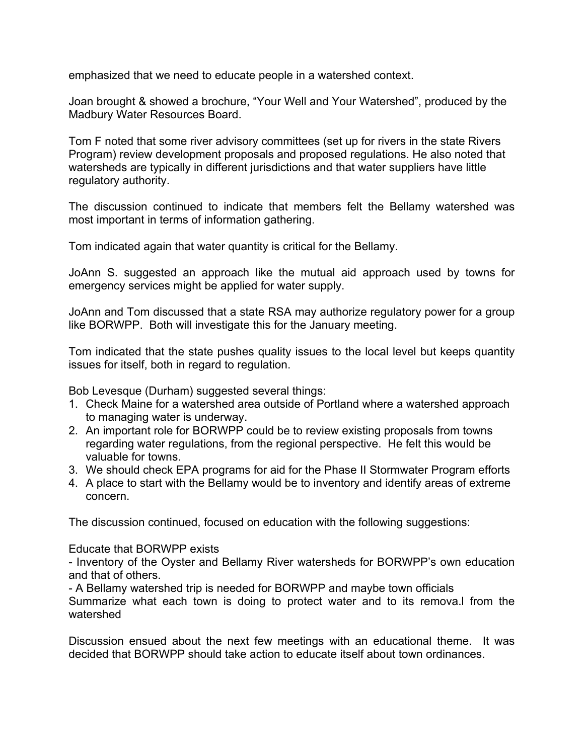emphasized that we need to educate people in a watershed context.

Joan brought & showed a brochure, "Your Well and Your Watershed", produced by the Madbury Water Resources Board.

Tom F noted that some river advisory committees (set up for rivers in the state Rivers Program) review development proposals and proposed regulations. He also noted that watersheds are typically in different jurisdictions and that water suppliers have little regulatory authority.

The discussion continued to indicate that members felt the Bellamy watershed was most important in terms of information gathering.

Tom indicated again that water quantity is critical for the Bellamy.

JoAnn S. suggested an approach like the mutual aid approach used by towns for emergency services might be applied for water supply.

JoAnn and Tom discussed that a state RSA may authorize regulatory power for a group like BORWPP. Both will investigate this for the January meeting.

Tom indicated that the state pushes quality issues to the local level but keeps quantity issues for itself, both in regard to regulation.

Bob Levesque (Durham) suggested several things:

- 1. Check Maine for a watershed area outside of Portland where a watershed approach to managing water is underway.
- 2. An important role for BORWPP could be to review existing proposals from towns regarding water regulations, from the regional perspective. He felt this would be valuable for towns.
- 3. We should check EPA programs for aid for the Phase II Stormwater Program efforts
- 4. A place to start with the Bellamy would be to inventory and identify areas of extreme concern.

The discussion continued, focused on education with the following suggestions:

Educate that BORWPP exists

- Inventory of the Oyster and Bellamy River watersheds for BORWPP's own education and that of others.

- A Bellamy watershed trip is needed for BORWPP and maybe town officials

Summarize what each town is doing to protect water and to its remova.l from the watershed

Discussion ensued about the next few meetings with an educational theme. It was decided that BORWPP should take action to educate itself about town ordinances.